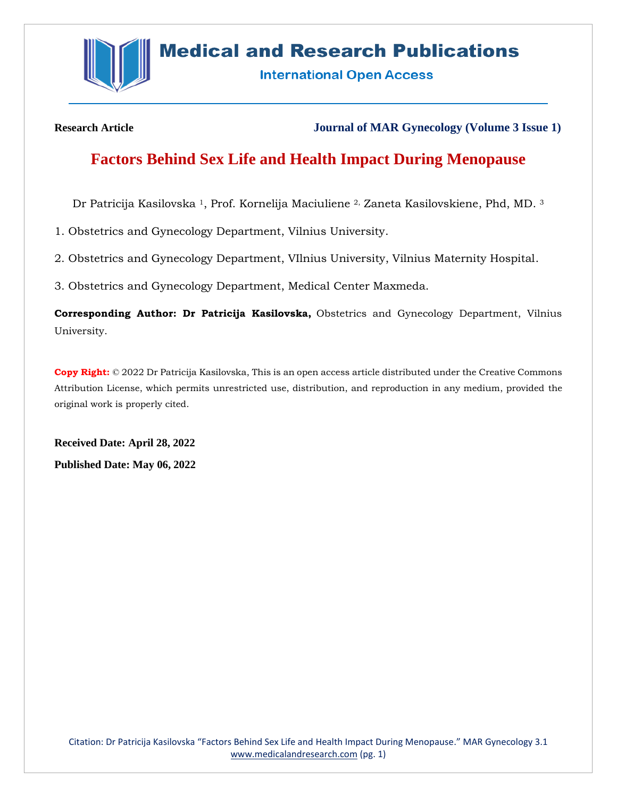

# **Medical and Research Publications**

**International Open Access** 

**Research Article Journal of MAR Gynecology (Volume 3 Issue 1)**

## **Factors Behind Sex Life and Health Impact During Menopause**

Dr Patricija Kasilovska <sup>1</sup>, Prof. Kornelija Maciuliene 2, Zaneta Kasilovskiene, Phd, MD. <sup>3</sup>

1. Obstetrics and Gynecology Department, Vilnius University.

2. Obstetrics and Gynecology Department, VIlnius University, Vilnius Maternity Hospital.

3. Obstetrics and Gynecology Department, Medical Center Maxmeda.

**Corresponding Author: Dr Patricija Kasilovska,** Obstetrics and Gynecology Department, Vilnius University.

**Copy Right:** © 2022 Dr Patricija Kasilovska, This is an open access article distributed under the Creative Commons Attribution License, which permits unrestricted use, distribution, and reproduction in any medium, provided the original work is properly cited.

**Received Date: April 28, 2022 Published Date: May 06, 2022**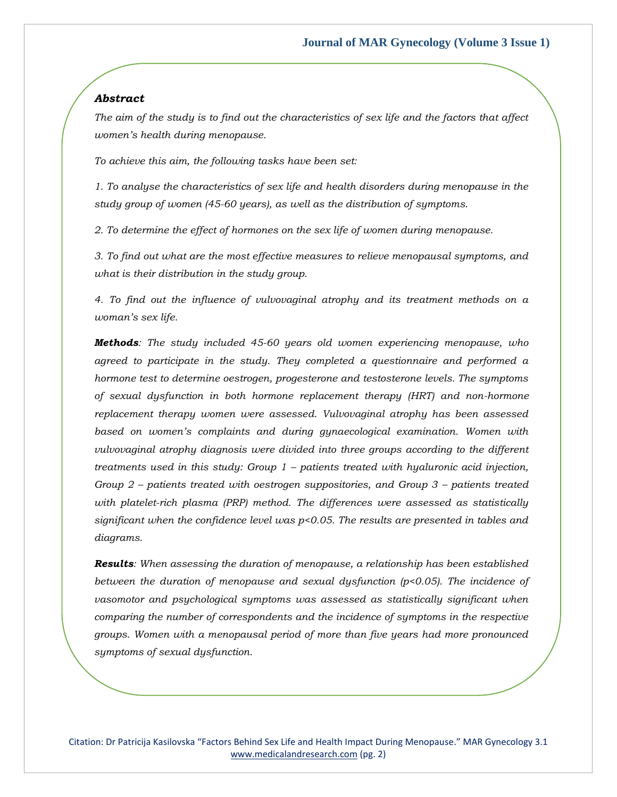## *Abstract*

*The aim of the study is to find out the characteristics of sex life and the factors that affect women's health during menopause.*

*To achieve this aim, the following tasks have been set:*

*1. To analyse the characteristics of sex life and health disorders during menopause in the study group of women (45-60 years), as well as the distribution of symptoms.*

*2. To determine the effect of hormones on the sex life of women during menopause.* 

*3. To find out what are the most effective measures to relieve menopausal symptoms, and what is their distribution in the study group.* 

*4. To find out the influence of vulvovaginal atrophy and its treatment methods on a woman's sex life.* 

*Methods: The study included 45-60 years old women experiencing menopause, who agreed to participate in the study. They completed a questionnaire and performed a hormone test to determine oestrogen, progesterone and testosterone levels. The symptoms of sexual dysfunction in both hormone replacement therapy (HRT) and non-hormone replacement therapy women were assessed. Vulvovaginal atrophy has been assessed based on women's complaints and during gynaecological examination. Women with vulvovaginal atrophy diagnosis were divided into three groups according to the different treatments used in this study: Group 1 – patients treated with hyaluronic acid injection, Group 2 – patients treated with oestrogen suppositories, and Group 3 – patients treated with platelet-rich plasma (PRP) method. The differences were assessed as statistically significant when the confidence level was p<0.05. The results are presented in tables and diagrams.* 

*Results: When assessing the duration of menopause, a relationship has been established between the duration of menopause and sexual dysfunction (p<0.05). The incidence of vasomotor and psychological symptoms was assessed as statistically significant when comparing the number of correspondents and the incidence of symptoms in the respective groups. Women with a menopausal period of more than five years had more pronounced symptoms of sexual dysfunction.*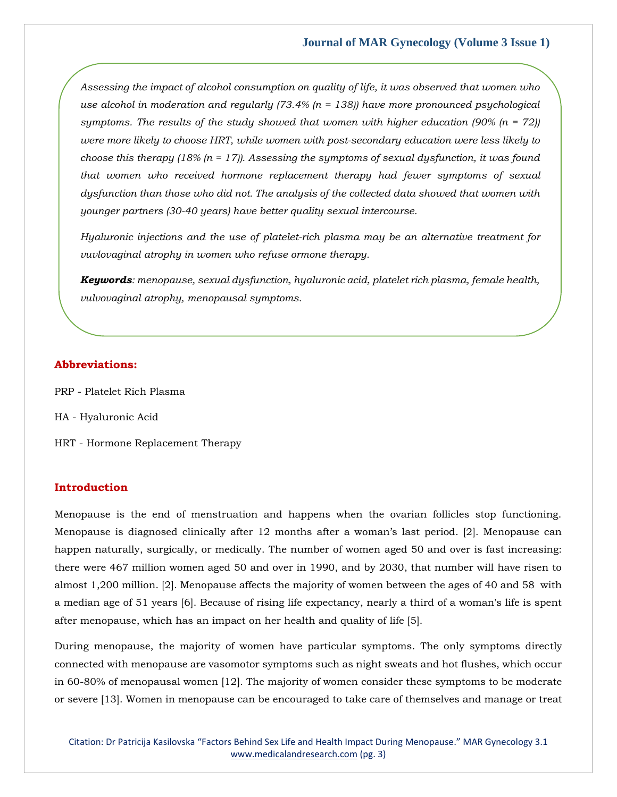*Assessing the impact of alcohol consumption on quality of life, it was observed that women who use alcohol in moderation and regularly (73.4% (n = 138)) have more pronounced psychological*  symptoms. The results of the study showed that women with higher education  $(90\% (n = 72))$ *were more likely to choose HRT, while women with post-secondary education were less likely to choose this therapy (18% (n = 17)). Assessing the symptoms of sexual dysfunction, it was found that women who received hormone replacement therapy had fewer symptoms of sexual dysfunction than those who did not. The analysis of the collected data showed that women with younger partners (30-40 years) have better quality sexual intercourse.*

*Hyaluronic injections and the use of platelet-rich plasma may be an alternative treatment for vuvlovaginal atrophy in women who refuse ormone therapy.* 

*Keywords: menopause, sexual dysfunction, hyaluronic acid, platelet rich plasma, female health, vulvovaginal atrophy, menopausal symptoms.*

## **Abbreviations:**

- PRP Platelet Rich Plasma
- HA Hyaluronic Acid
- HRT Hormone Replacement Therapy

## **Introduction**

Menopause is the end of menstruation and happens when the ovarian follicles stop functioning. Menopause is diagnosed clinically after 12 months after a woman's last period. [2]. Menopause can happen naturally, surgically, or medically. The number of women aged 50 and over is fast increasing: there were 467 million women aged 50 and over in 1990, and by 2030, that number will have risen to almost 1,200 million. [2]. Menopause affects the majority of women between the ages of 40 and 58 with a median age of 51 years [6]. Because of rising life expectancy, nearly a third of a woman's life is spent after menopause, which has an impact on her health and quality of life [5].

During menopause, the majority of women have particular symptoms. The only symptoms directly connected with menopause are vasomotor symptoms such as night sweats and hot flushes, which occur in 60-80% of menopausal women [12]. The majority of women consider these symptoms to be moderate or severe [13]. Women in menopause can be encouraged to take care of themselves and manage or treat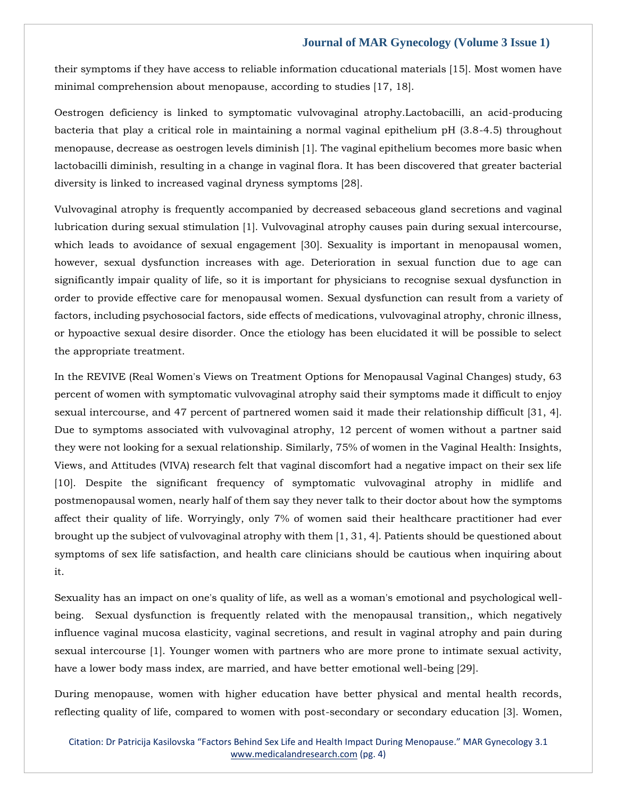their symptoms if they have access to reliable information cducational materials [15]. Most women have minimal comprehension about menopause, according to studies [17, 18].

Oestrogen deficiency is linked to symptomatic vulvovaginal atrophy.Lactobacilli, an acid-producing bacteria that play a critical role in maintaining a normal vaginal epithelium pH (3.8-4.5) throughout menopause, decrease as oestrogen levels diminish [1]. The vaginal epithelium becomes more basic when lactobacilli diminish, resulting in a change in vaginal flora. It has been discovered that greater bacterial diversity is linked to increased vaginal dryness symptoms [28].

Vulvovaginal atrophy is frequently accompanied by decreased sebaceous gland secretions and vaginal lubrication during sexual stimulation [1]. Vulvovaginal atrophy causes pain during sexual intercourse, which leads to avoidance of sexual engagement [30]. Sexuality is important in menopausal women, however, sexual dysfunction increases with age. Deterioration in sexual function due to age can significantly impair quality of life, so it is important for physicians to recognise sexual dysfunction in order to provide effective care for menopausal women. Sexual dysfunction can result from a variety of factors, including psychosocial factors, side effects of medications, vulvovaginal atrophy, chronic illness, or hypoactive sexual desire disorder. Once the etiology has been elucidated it will be possible to select the appropriate treatment.

In the REVIVE (Real Women's Views on Treatment Options for Menopausal Vaginal Changes) study, 63 percent of women with symptomatic vulvovaginal atrophy said their symptoms made it difficult to enjoy sexual intercourse, and 47 percent of partnered women said it made their relationship difficult [31, 4]. Due to symptoms associated with vulvovaginal atrophy, 12 percent of women without a partner said they were not looking for a sexual relationship. Similarly, 75% of women in the Vaginal Health: Insights, Views, and Attitudes (VIVA) research felt that vaginal discomfort had a negative impact on their sex life [10]. Despite the significant frequency of symptomatic vulvovaginal atrophy in midlife and postmenopausal women, nearly half of them say they never talk to their doctor about how the symptoms affect their quality of life. Worryingly, only 7% of women said their healthcare practitioner had ever brought up the subject of vulvovaginal atrophy with them [1, 31, 4]. Patients should be questioned about symptoms of sex life satisfaction, and health care clinicians should be cautious when inquiring about it.

Sexuality has an impact on one's quality of life, as well as a woman's emotional and psychological wellbeing. Sexual dysfunction is frequently related with the menopausal transition,, which negatively influence vaginal mucosa elasticity, vaginal secretions, and result in vaginal atrophy and pain during sexual intercourse [1]. Younger women with partners who are more prone to intimate sexual activity, have a lower body mass index, are married, and have better emotional well-being [29].

During menopause, women with higher education have better physical and mental health records, reflecting quality of life, compared to women with post-secondary or secondary education [3]. Women,

Citation: Dr Patricija Kasilovska "Factors Behind Sex Life and Health Impact During Menopause." MAR Gynecology 3.1 [www.medicalandresearch.com](http://www.medicalandresearch.com/) (pg. 4)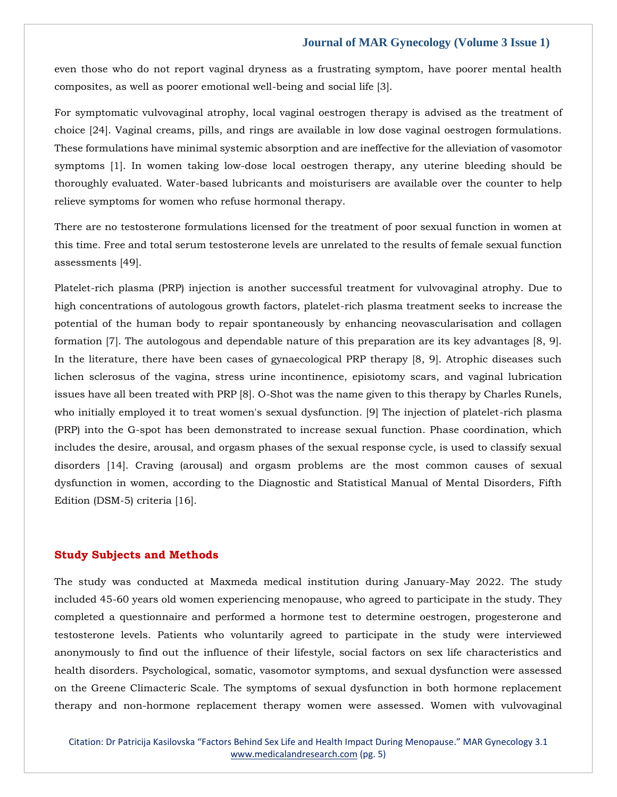even those who do not report vaginal dryness as a frustrating symptom, have poorer mental health composites, as well as poorer emotional well-being and social life [3].

For symptomatic vulvovaginal atrophy, local vaginal oestrogen therapy is advised as the treatment of choice [24]. Vaginal creams, pills, and rings are available in low dose vaginal oestrogen formulations. These formulations have minimal systemic absorption and are ineffective for the alleviation of vasomotor symptoms [1]. In women taking low-dose local oestrogen therapy, any uterine bleeding should be thoroughly evaluated. Water-based lubricants and moisturisers are available over the counter to help relieve symptoms for women who refuse hormonal therapy.

There are no testosterone formulations licensed for the treatment of poor sexual function in women at this time. Free and total serum testosterone levels are unrelated to the results of female sexual function assessments [49].

Platelet-rich plasma (PRP) injection is another successful treatment for vulvovaginal atrophy. Due to high concentrations of autologous growth factors, platelet-rich plasma treatment seeks to increase the potential of the human body to repair spontaneously by enhancing neovascularisation and collagen formation [7]. The autologous and dependable nature of this preparation are its key advantages [8, 9]. In the literature, there have been cases of gynaecological PRP therapy [8, 9]. Atrophic diseases such lichen sclerosus of the vagina, stress urine incontinence, episiotomy scars, and vaginal lubrication issues have all been treated with PRP [8]. O-Shot was the name given to this therapy by Charles Runels, who initially employed it to treat women's sexual dysfunction. [9] The injection of platelet-rich plasma (PRP) into the G-spot has been demonstrated to increase sexual function. Phase coordination, which includes the desire, arousal, and orgasm phases of the sexual response cycle, is used to classify sexual disorders [14]. Craving (arousal) and orgasm problems are the most common causes of sexual dysfunction in women, according to the Diagnostic and Statistical Manual of Mental Disorders, Fifth Edition (DSM-5) criteria [16].

#### **Study Subjects and Methods**

The study was conducted at Maxmeda medical institution during January-May 2022. The study included 45-60 years old women experiencing menopause, who agreed to participate in the study. They completed a questionnaire and performed a hormone test to determine oestrogen, progesterone and testosterone levels. Patients who voluntarily agreed to participate in the study were interviewed anonymously to find out the influence of their lifestyle, social factors on sex life characteristics and health disorders. Psychological, somatic, vasomotor symptoms, and sexual dysfunction were assessed on the Greene Climacteric Scale. The symptoms of sexual dysfunction in both hormone replacement therapy and non-hormone replacement therapy women were assessed. Women with vulvovaginal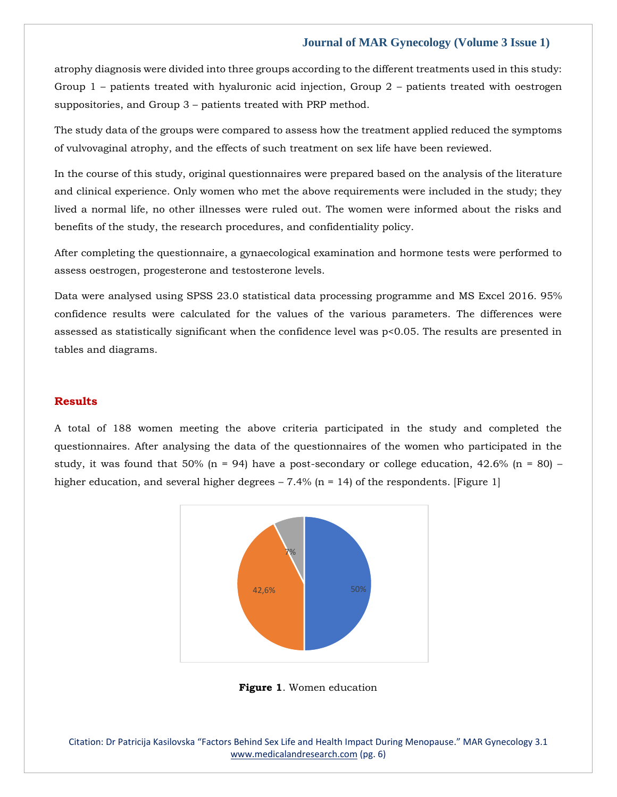atrophy diagnosis were divided into three groups according to the different treatments used in this study: Group 1 – patients treated with hyaluronic acid injection, Group 2 – patients treated with oestrogen suppositories, and Group 3 – patients treated with PRP method.

The study data of the groups were compared to assess how the treatment applied reduced the symptoms of vulvovaginal atrophy, and the effects of such treatment on sex life have been reviewed.

In the course of this study, original questionnaires were prepared based on the analysis of the literature and clinical experience. Only women who met the above requirements were included in the study; they lived a normal life, no other illnesses were ruled out. The women were informed about the risks and benefits of the study, the research procedures, and confidentiality policy.

After completing the questionnaire, a gynaecological examination and hormone tests were performed to assess oestrogen, progesterone and testosterone levels.

Data were analysed using SPSS 23.0 statistical data processing programme and MS Excel 2016. 95% confidence results were calculated for the values of the various parameters. The differences were assessed as statistically significant when the confidence level was p<0.05. The results are presented in tables and diagrams.

## **Results**

A total of 188 women meeting the above criteria participated in the study and completed the questionnaires. After analysing the data of the questionnaires of the women who participated in the study, it was found that 50% (n = 94) have a post-secondary or college education, 42.6% (n = 80) – higher education, and several higher degrees  $-7.4\%$  (n = 14) of the respondents. [Figure 1]



**Figure 1**. Women education

Citation: Dr Patricija Kasilovska "Factors Behind Sex Life and Health Impact During Menopause." MAR Gynecology 3.1 [www.medicalandresearch.com](http://www.medicalandresearch.com/) (pg. 6)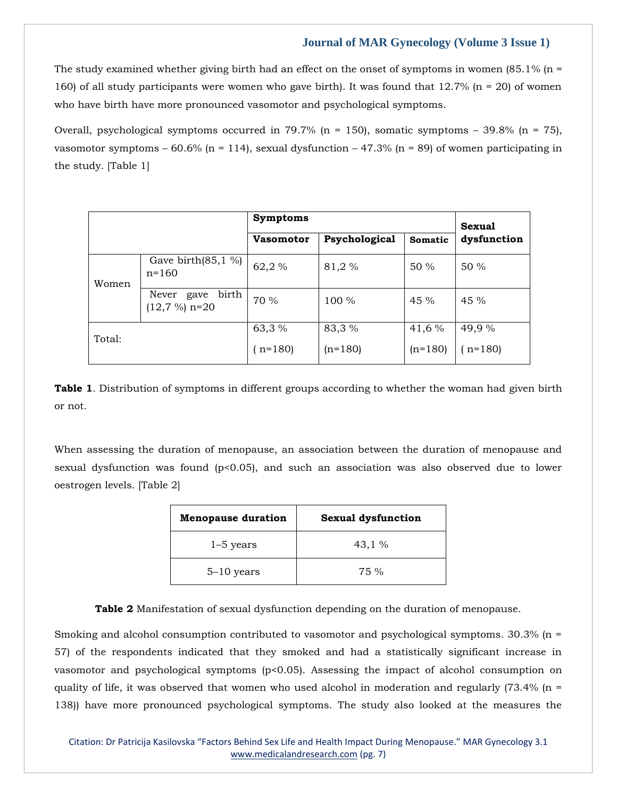The study examined whether giving birth had an effect on the onset of symptoms in women  $(85.1\%$  (n = 160) of all study participants were women who gave birth). It was found that 12.7% (n = 20) of women who have birth have more pronounced vasomotor and psychological symptoms.

Overall, psychological symptoms occurred in 79.7% (n = 150), somatic symptoms – 39.8% (n = 75), vasomotor symptoms – 60.6% (n = 114), sexual dysfunction – 47.3% (n = 89) of women participating in the study. [Table 1]

|        |                                           | Symptoms         |               |           | <b>Sexual</b> |
|--------|-------------------------------------------|------------------|---------------|-----------|---------------|
|        |                                           | <b>Vasomotor</b> | Psychological | Somatic   | dysfunction   |
| Women  | Gave birth $(85, 1\%)$<br>$n = 160$       | 62,2%            | 81,2%         | 50 %      | 50 %          |
|        | birth<br>Never<br>gave<br>$(12,7\%)$ n=20 | 70 %             | 100 %         | 45 %      | 45%           |
| Total: |                                           | 63,3 %           | 83,3 %        | 41,6 %    | 49,9 %        |
|        |                                           | $(n=180)$        | $(n=180)$     | $(n=180)$ | $(n=180)$     |

**Table 1**. Distribution of symptoms in different groups according to whether the woman had given birth or not.

When assessing the duration of menopause, an association between the duration of menopause and sexual dysfunction was found (p<0.05), and such an association was also observed due to lower oestrogen levels. [Table 2]

| <b>Menopause duration</b> | <b>Sexual dysfunction</b> |  |  |
|---------------------------|---------------------------|--|--|
| $1-5$ years               | 43,1%                     |  |  |
| $5-10$ years              | 75 %                      |  |  |

**Table 2** Manifestation of sexual dysfunction depending on the duration of menopause.

Smoking and alcohol consumption contributed to vasomotor and psychological symptoms. 30.3% (n = 57) of the respondents indicated that they smoked and had a statistically significant increase in vasomotor and psychological symptoms (p<0.05). Assessing the impact of alcohol consumption on quality of life, it was observed that women who used alcohol in moderation and regularly  $(73.4\%$  (n = 138)) have more pronounced psychological symptoms. The study also looked at the measures the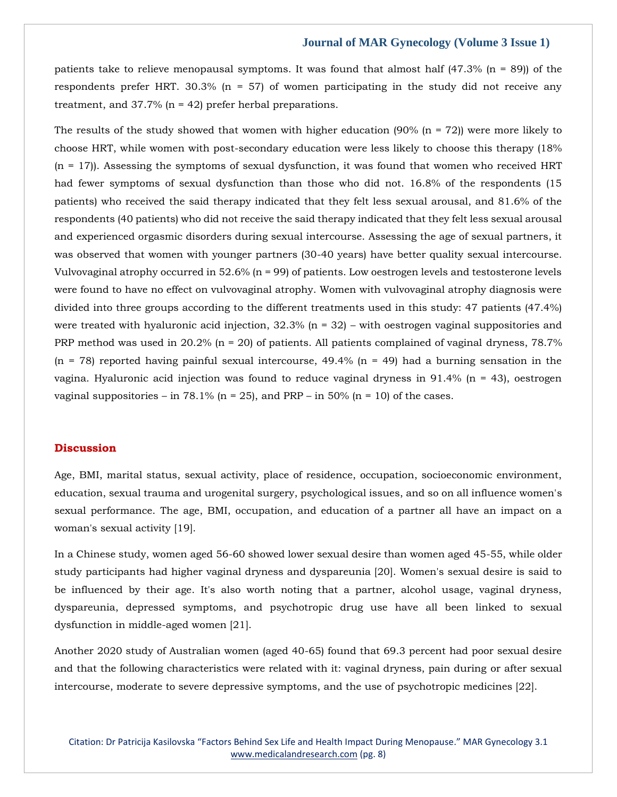patients take to relieve menopausal symptoms. It was found that almost half  $(47.3\%$  (n = 89)) of the respondents prefer HRT. 30.3% ( $n = 57$ ) of women participating in the study did not receive any treatment, and  $37.7\%$  (n = 42) prefer herbal preparations.

The results of the study showed that women with higher education (90% (n = 72)) were more likely to choose HRT, while women with post-secondary education were less likely to choose this therapy (18%  $(n = 17)$ ). Assessing the symptoms of sexual dysfunction, it was found that women who received HRT had fewer symptoms of sexual dysfunction than those who did not. 16.8% of the respondents (15 patients) who received the said therapy indicated that they felt less sexual arousal, and 81.6% of the respondents (40 patients) who did not receive the said therapy indicated that they felt less sexual arousal and experienced orgasmic disorders during sexual intercourse. Assessing the age of sexual partners, it was observed that women with younger partners (30-40 years) have better quality sexual intercourse. Vulvovaginal atrophy occurred in 52.6% (n = 99) of patients. Low oestrogen levels and testosterone levels were found to have no effect on vulvovaginal atrophy. Women with vulvovaginal atrophy diagnosis were divided into three groups according to the different treatments used in this study: 47 patients (47.4%) were treated with hyaluronic acid injection,  $32.3\%$  (n = 32) – with oestrogen vaginal suppositories and PRP method was used in 20.2% ( $n = 20$ ) of patients. All patients complained of vaginal dryness, 78.7%  $(n = 78)$  reported having painful sexual intercourse, 49.4%  $(n = 49)$  had a burning sensation in the vagina. Hyaluronic acid injection was found to reduce vaginal dryness in 91.4% ( $n = 43$ ), oestrogen vaginal suppositories – in 78.1% (n = 25), and PRP – in 50% (n = 10) of the cases.

## **Discussion**

Age, BMI, marital status, sexual activity, place of residence, occupation, socioeconomic environment, education, sexual trauma and urogenital surgery, psychological issues, and so on all influence women's sexual performance. The age, BMI, occupation, and education of a partner all have an impact on a woman's sexual activity [19].

In a Chinese study, women aged 56-60 showed lower sexual desire than women aged 45-55, while older study participants had higher vaginal dryness and dyspareunia [20]. Women's sexual desire is said to be influenced by their age. It's also worth noting that a partner, alcohol usage, vaginal dryness, dyspareunia, depressed symptoms, and psychotropic drug use have all been linked to sexual dysfunction in middle-aged women [21].

Another 2020 study of Australian women (aged 40-65) found that 69.3 percent had poor sexual desire and that the following characteristics were related with it: vaginal dryness, pain during or after sexual intercourse, moderate to severe depressive symptoms, and the use of psychotropic medicines [22].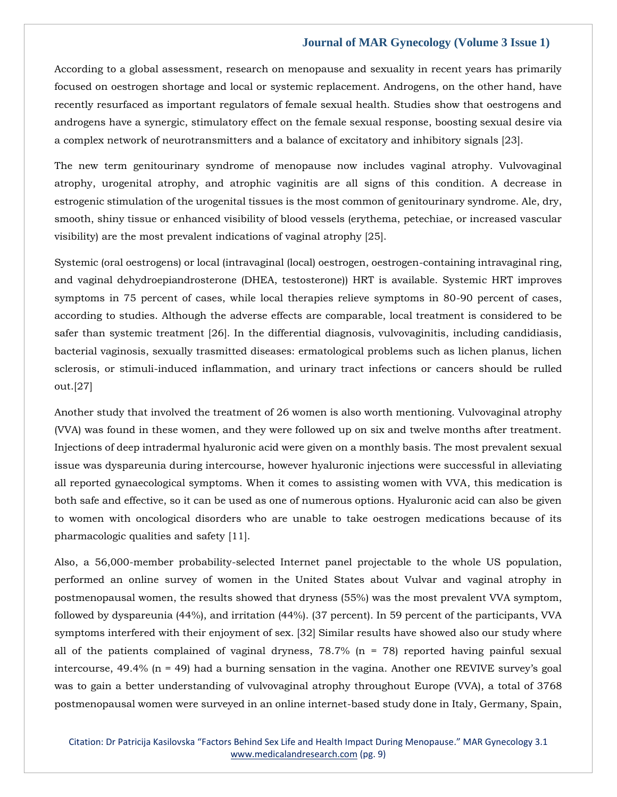According to a global assessment, research on menopause and sexuality in recent years has primarily focused on oestrogen shortage and local or systemic replacement. Androgens, on the other hand, have recently resurfaced as important regulators of female sexual health. Studies show that oestrogens and androgens have a synergic, stimulatory effect on the female sexual response, boosting sexual desire via a complex network of neurotransmitters and a balance of excitatory and inhibitory signals [23].

The new term genitourinary syndrome of menopause now includes vaginal atrophy. Vulvovaginal atrophy, urogenital atrophy, and atrophic vaginitis are all signs of this condition. A decrease in estrogenic stimulation of the urogenital tissues is the most common of genitourinary syndrome. Ale, dry, smooth, shiny tissue or enhanced visibility of blood vessels (erythema, petechiae, or increased vascular visibility) are the most prevalent indications of vaginal atrophy [25].

Systemic (oral oestrogens) or local (intravaginal (local) oestrogen, oestrogen-containing intravaginal ring, and vaginal dehydroepiandrosterone (DHEA, testosterone)) HRT is available. Systemic HRT improves symptoms in 75 percent of cases, while local therapies relieve symptoms in 80-90 percent of cases, according to studies. Although the adverse effects are comparable, local treatment is considered to be safer than systemic treatment [26]. In the differential diagnosis, vulvovaginitis, including candidiasis, bacterial vaginosis, sexually trasmitted diseases: ermatological problems such as lichen planus, lichen sclerosis, or stimuli-induced inflammation, and urinary tract infections or cancers should be rulled out.[27]

Another study that involved the treatment of 26 women is also worth mentioning. Vulvovaginal atrophy (VVA) was found in these women, and they were followed up on six and twelve months after treatment. Injections of deep intradermal hyaluronic acid were given on a monthly basis. The most prevalent sexual issue was dyspareunia during intercourse, however hyaluronic injections were successful in alleviating all reported gynaecological symptoms. When it comes to assisting women with VVA, this medication is both safe and effective, so it can be used as one of numerous options. Hyaluronic acid can also be given to women with oncological disorders who are unable to take oestrogen medications because of its pharmacologic qualities and safety [11].

Also, a 56,000-member probability-selected Internet panel projectable to the whole US population, performed an online survey of women in the United States about Vulvar and vaginal atrophy in postmenopausal women, the results showed that dryness (55%) was the most prevalent VVA symptom, followed by dyspareunia (44%), and irritation (44%). (37 percent). In 59 percent of the participants, VVA symptoms interfered with their enjoyment of sex. [32] Similar results have showed also our study where all of the patients complained of vaginal dryness,  $78.7\%$  (n = 78) reported having painful sexual intercourse,  $49.4\%$  (n = 49) had a burning sensation in the vagina. Another one REVIVE survey's goal was to gain a better understanding of vulvovaginal atrophy throughout Europe (VVA), a total of 3768 postmenopausal women were surveyed in an online internet-based study done in Italy, Germany, Spain,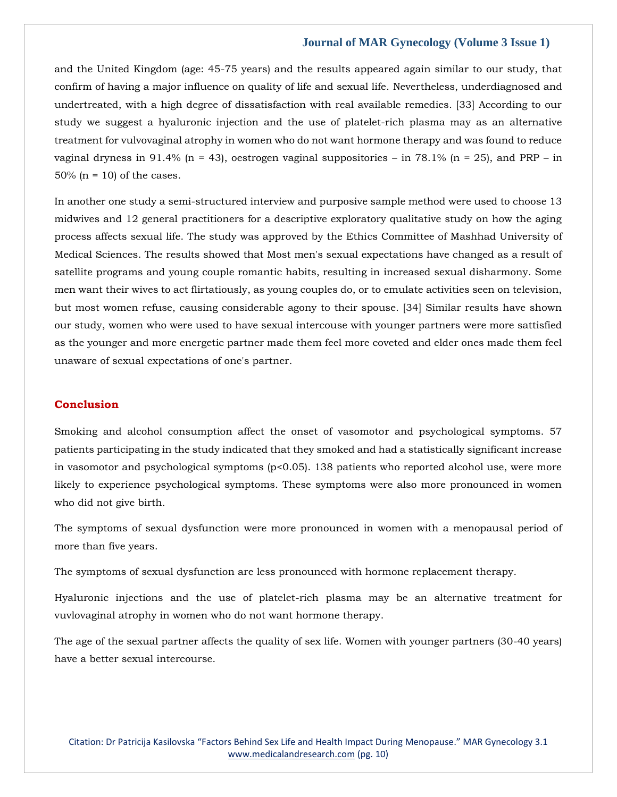and the United Kingdom (age: 45-75 years) and the results appeared again similar to our study, that confirm of having a major influence on quality of life and sexual life. Nevertheless, underdiagnosed and undertreated, with a high degree of dissatisfaction with real available remedies. [33] According to our study we suggest a hyaluronic injection and the use of platelet-rich plasma may as an alternative treatment for vulvovaginal atrophy in women who do not want hormone therapy and was found to reduce vaginal dryness in 91.4% (n = 43), oestrogen vaginal suppositories – in 78.1% (n = 25), and PRP – in  $50\%$  (n = 10) of the cases.

In another one study a semi-structured interview and purposive sample method were used to choose 13 midwives and 12 general practitioners for a descriptive exploratory qualitative study on how the aging process affects sexual life. The study was approved by the Ethics Committee of Mashhad University of Medical Sciences. The results showed that Most men's sexual expectations have changed as a result of satellite programs and young couple romantic habits, resulting in increased sexual disharmony. Some men want their wives to act flirtatiously, as young couples do, or to emulate activities seen on television, but most women refuse, causing considerable agony to their spouse. [34] Similar results have shown our study, women who were used to have sexual intercouse with younger partners were more sattisfied as the younger and more energetic partner made them feel more coveted and elder ones made them feel unaware of sexual expectations of one's partner.

## **Conclusion**

Smoking and alcohol consumption affect the onset of vasomotor and psychological symptoms. 57 patients participating in the study indicated that they smoked and had a statistically significant increase in vasomotor and psychological symptoms (p<0.05). 138 patients who reported alcohol use, were more likely to experience psychological symptoms. These symptoms were also more pronounced in women who did not give birth.

The symptoms of sexual dysfunction were more pronounced in women with a menopausal period of more than five years.

The symptoms of sexual dysfunction are less pronounced with hormone replacement therapy.

Hyaluronic injections and the use of platelet-rich plasma may be an alternative treatment for vuvlovaginal atrophy in women who do not want hormone therapy.

The age of the sexual partner affects the quality of sex life. Women with younger partners (30-40 years) have a better sexual intercourse.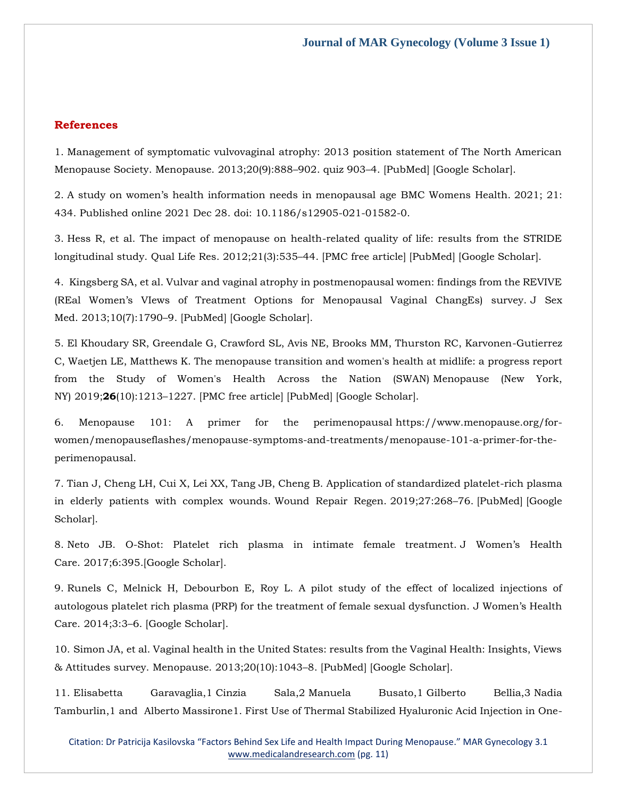## **References**

1. Management of symptomatic vulvovaginal atrophy: 2013 position statement of The North American Menopause Society. Menopause. 2013;20(9):888–902. quiz 903–4. [\[PubMed\]](https://www.ncbi.nlm.nih.gov/pubmed/23985562) [\[Google Scholar\]](https://scholar.google.com/scholar_lookup?journal=Menopause&title=Management+of+symptomatic+vulvovaginal+atrophy:+2013+position+statement+of+The+North+American+Menopause+Society&volume=20&issue=9&publication_year=2013&pages=888-902&pmid=23985562&).

2. A study on women's health information needs in menopausal age [BMC Womens Health.](https://www.ncbi.nlm.nih.gov/pmc/articles/PMC8712206/) 2021; 21: 434. Published online 2021 Dec 28. doi: [10.1186/s12905-021-01582-0.](https://dx.doi.org/10.1186/s12905-021-01582-0)

3. Hess R, et al. The impact of menopause on health-related quality of life: results from the STRIDE longitudinal study. Qual Life Res. 2012;21(3):535–44. [\[PMC free article\]](https://www.ncbi.nlm.nih.gov/pmc/articles/PMC3252474/) [\[PubMed\]](https://www.ncbi.nlm.nih.gov/pubmed/21755412) [\[Google Scholar\]](https://scholar.google.com/scholar_lookup?journal=Qual+Life+Res&title=The+impact+of+menopause+on+health-related+quality+of+life:+results+from+the+STRIDE+longitudinal+study&author=R+Hess&volume=21&issue=3&publication_year=2012&pages=535-44&pmid=21755412&).

4. Kingsberg SA, et al. Vulvar and vaginal atrophy in postmenopausal women: findings from the REVIVE (REal Women's VIews of Treatment Options for Menopausal Vaginal ChangEs) survey. J Sex Med. 2013;10(7):1790–9. [\[PubMed\]](https://www.ncbi.nlm.nih.gov/pubmed/23679050) [\[Google Scholar\]](https://scholar.google.com/scholar_lookup?journal=J+Sex+Med&title=Vulvar+and+vaginal+atrophy+in+postmenopausal+women:+findings+from+the+REVIVE+(REal+Women%E2%80%99s+VIews+of+Treatment+Options+for+Menopausal+Vaginal+ChangEs)+survey&author=SA+Kingsberg&volume=10&issue=7&publication_year=2013&pages=1790-9&pmid=23679050&).

5. El Khoudary SR, Greendale G, Crawford SL, Avis NE, Brooks MM, Thurston RC, Karvonen-Gutierrez C, Waetjen LE, Matthews K. The menopause transition and women's health at midlife: a progress report from the Study of Women's Health Across the Nation (SWAN) Menopause (New York, NY) 2019;**26**(10):1213–1227. [\[PMC free article\]](https://www.ncbi.nlm.nih.gov/pmc/articles/PMC6784846/) [\[PubMed\]](https://www.ncbi.nlm.nih.gov/pubmed/31568098) [\[Google Scholar\]](https://scholar.google.com/scholar_lookup?journal=Menopause+(New+York,+NY)&title=The+menopause+transition+and+women).

6. Menopause 101: A primer for the perimenopausal [https://www.menopause.org/for](https://www.menopause.org/for-women/menopauseflashes/menopause-symptoms-and-treatments/menopause-101-a-primer-for-the-perimenopausal)[women/menopauseflashes/menopause-symptoms-and-treatments/menopause-101-a-primer-for-the](https://www.menopause.org/for-women/menopauseflashes/menopause-symptoms-and-treatments/menopause-101-a-primer-for-the-perimenopausal)[perimenopausal.](https://www.menopause.org/for-women/menopauseflashes/menopause-symptoms-and-treatments/menopause-101-a-primer-for-the-perimenopausal)

7. Tian J, Cheng LH, Cui X, Lei XX, Tang JB, Cheng B. Application of standardized platelet-rich plasma in elderly patients with complex wounds. Wound Repair Regen. 2019;27:268–76. [\[PubMed\]](https://www.ncbi.nlm.nih.gov/pubmed/30693614) [\[Google](https://scholar.google.com/scholar_lookup?journal=Wound+Repair+Regen&title=Application+of+standardized+platelet-rich+plasma+in+elderly+patients+with+complex+wounds&author=J+Tian&author=LH+Cheng&author=X+Cui&author=XX+Lei&author=JB+Tang&volume=27&publication_year=2019&pages=268-76&pmid=30693614&)  [Scholar\]](https://scholar.google.com/scholar_lookup?journal=Wound+Repair+Regen&title=Application+of+standardized+platelet-rich+plasma+in+elderly+patients+with+complex+wounds&author=J+Tian&author=LH+Cheng&author=X+Cui&author=XX+Lei&author=JB+Tang&volume=27&publication_year=2019&pages=268-76&pmid=30693614&).

8. Neto JB. O-Shot: Platelet rich plasma in intimate female treatment. J Women's Health Care. 2017;6:395.[\[Google Scholar\]](https://scholar.google.com/scholar_lookup?journal=J+Women%E2%80%99s+Health+Care&title=O-Shot:+Platelet+rich+plasma+in+intimate+female+treatment&author=JB+Neto&volume=6&publication_year=2017&pages=395&).

9. Runels C, Melnick H, Debourbon E, Roy L. A pilot study of the effect of localized injections of autologous platelet rich plasma (PRP) for the treatment of female sexual dysfunction. J Women's Health Care. 2014;3:3–6. [\[Google Scholar\]](https://scholar.google.com/scholar_lookup?journal=J+Women%E2%80%99s+Health+Care&title=A+pilot+study+of+the+effect+of+localized+injections+of+autologous+platelet+rich+plasma+(PRP)+for+the+treatment+of+female+sexual+dysfunction&author=C+Runels&author=H+Melnick&author=E+Debourbon&author=L+Roy&volume=3&publication_year=2014&pages=3-6&).

10. Simon JA, et al. Vaginal health in the United States: results from the Vaginal Health: Insights, Views & Attitudes survey. Menopause. 2013;20(10):1043–8. [\[PubMed\]](https://www.ncbi.nlm.nih.gov/pubmed/23571518) [\[Google Scholar\]](https://scholar.google.com/scholar_lookup?journal=Menopause&title=Vaginal+health+in+the+United+States:+results+from+the+Vaginal+Health:+Insights,+Views+&+Attitudes+survey&author=JA+Simon&volume=20&issue=10&publication_year=2013&pages=1043-8&pmid=23571518&).

11. [Elisabetta Garavaglia,](https://www.ncbi.nlm.nih.gov/pubmed/?term=Garavaglia%20E%5bAuthor%5d&cauthor=true&cauthor_uid=33304110)1 [Cinzia Sala,](https://www.ncbi.nlm.nih.gov/pubmed/?term=Sala%20C%5bAuthor%5d&cauthor=true&cauthor_uid=33304110)2 [Manuela Busato,](https://www.ncbi.nlm.nih.gov/pubmed/?term=Busato%20M%5bAuthor%5d&cauthor=true&cauthor_uid=33304110)1 [Gilberto Bellia,](https://www.ncbi.nlm.nih.gov/pubmed/?term=Bellia%20G%5bAuthor%5d&cauthor=true&cauthor_uid=33304110)3 [Nadia](https://www.ncbi.nlm.nih.gov/pubmed/?term=Tamburlin%20N%5bAuthor%5d&cauthor=true&cauthor_uid=33304110)  [Tamburlin,](https://www.ncbi.nlm.nih.gov/pubmed/?term=Tamburlin%20N%5bAuthor%5d&cauthor=true&cauthor_uid=33304110)1 and [Alberto Massirone1](https://www.ncbi.nlm.nih.gov/pubmed/?term=Massirone%20A%5bAuthor%5d&cauthor=true&cauthor_uid=33304110). First Use of Thermal Stabilized Hyaluronic Acid Injection in One-

Citation: Dr Patricija Kasilovska "Factors Behind Sex Life and Health Impact During Menopause." MAR Gynecology 3.1 [www.medicalandresearch.com](http://www.medicalandresearch.com/) (pg. 11)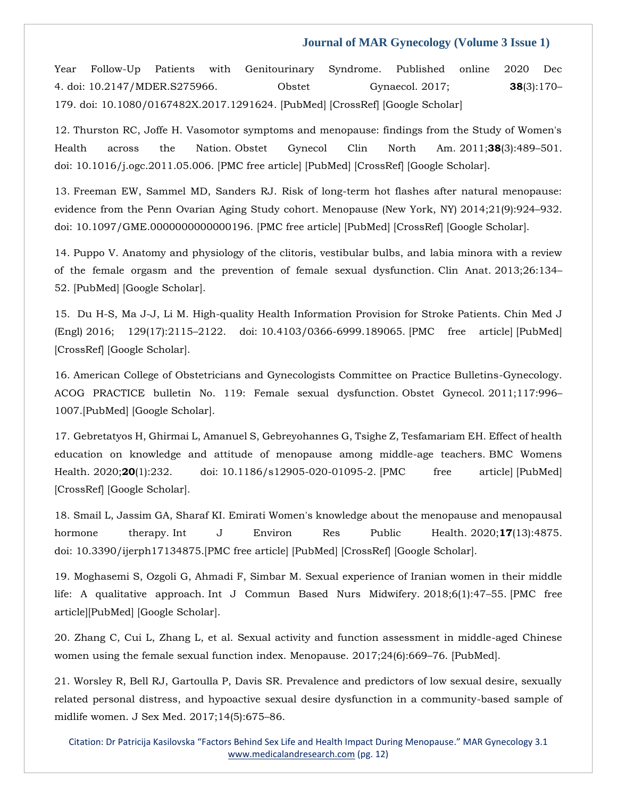Year Follow-Up Patients with Genitourinary Syndrome. Published online 2020 Dec 4. doi: [10.2147/MDER.S275966.](https://dx.doi.org/10.2147/MDER.S275966) Obstet Gynaecol. 2017; **38**(3):170– 179. doi: 10.1080/0167482X.2017.1291624. [\[PubMed\]](https://www.ncbi.nlm.nih.gov/pubmed/28351196) [\[CrossRef\]](https://dx.doi.org/10.1080/0167482X.2017.1291624) [\[Google Scholar\]](https://scholar.google.com/scholar_lookup?journal=J+Psychosom+Obstet+Gynaecol&title=Menopausal+syndrome+limited+to+hot+flushes+and+sweating+a+representative+survey+study&author=K+Weidner&author=I+Croy&author=T+Siepmann&author=E+Br%C3%A4hler&author=M+Beutel&volume=38&issue=3&publication_year=2017&pages=170-179&pmid=28351196&doi=10.1080/0167482X.2017.1291624&)

12. Thurston RC, Joffe H. Vasomotor symptoms and menopause: findings from the Study of Women's Health across the Nation. Obstet Gynecol Clin North Am. 2011;**38**(3):489–501. doi: 10.1016/j.ogc.2011.05.006. [\[PMC free article\]](https://www.ncbi.nlm.nih.gov/pmc/articles/PMC3185243/) [\[PubMed\]](https://www.ncbi.nlm.nih.gov/pubmed/21961716) [\[CrossRef\]](https://dx.doi.org/10.1016/j.ogc.2011.05.006) [\[Google Scholar\]](https://scholar.google.com/scholar_lookup?journal=Obstet+Gynecol+Clin+North+Am&title=Vasomotor+symptoms+and+menopause:+findings+from+the+Study+of+Women).

13. Freeman EW, Sammel MD, Sanders RJ. Risk of long-term hot flashes after natural menopause: evidence from the Penn Ovarian Aging Study cohort. Menopause (New York, NY) 2014;21(9):924–932. doi: 10.1097/GME.0000000000000196. [\[PMC free article\]](https://www.ncbi.nlm.nih.gov/pmc/articles/PMC4574289/) [\[PubMed\]](https://www.ncbi.nlm.nih.gov/pubmed/24473530) [\[CrossRef\]](https://dx.doi.org/10.1097/GME.0000000000000196) [\[Google Scholar\]](https://scholar.google.com/scholar_lookup?journal=Menopause+(New+York,+NY)&title=Risk+of+long-term+hot+flashes+after+natural+menopause:+evidence+from+the+Penn+Ovarian+Aging+Study+cohort&author=EW+Freeman&author=MD+Sammel&author=RJ+Sanders&volume=21&issue=9&publication_year=2014&pages=924-932&doi=10.1097/GME.0000000000000196&).

14. Puppo V. Anatomy and physiology of the clitoris, vestibular bulbs, and labia minora with a review of the female orgasm and the prevention of female sexual dysfunction. Clin Anat. 2013;26:134– 52. [\[PubMed\]](https://www.ncbi.nlm.nih.gov/pubmed/23169570) [\[Google Scholar\]](https://scholar.google.com/scholar_lookup?journal=Clin+Anat&title=Anatomy+and+physiology+of+the+clitoris,+vestibular+bulbs,+and+labia+minora+with+a+review+of+the+female+orgasm+and+the+prevention+of+female+sexual+dysfunction&author=V+Puppo&volume=26&publication_year=2013&pages=134-52&pmid=23169570&).

15. Du H-S, Ma J-J, Li M. High-quality Health Information Provision for Stroke Patients. Chin Med J (Engl) 2016; 129(17):2115–2122. doi: 10.4103/0366-6999.189065. [\[PMC free article\]](https://www.ncbi.nlm.nih.gov/pmc/articles/PMC5009598/) [\[PubMed\]](https://www.ncbi.nlm.nih.gov/pubmed/27569241) [\[CrossRef\]](https://dx.doi.org/10.4103/0366-6999.189065) [\[Google Scholar\]](https://scholar.google.com/scholar_lookup?journal=Chin+Med+J+(Engl)&title=High-quality+Health+Information+Provision+for+Stroke+Patients&author=H-S+Du&author=J-J+Ma&author=M+Li&volume=129&issue=17&publication_year=2016&pages=2115-2122&pmid=27569241&doi=10.4103/0366-6999.189065&).

16. American College of Obstetricians and Gynecologists Committee on Practice Bulletins-Gynecology. ACOG PRACTICE bulletin No. 119: Female sexual dysfunction. Obstet Gynecol. 2011;117:996– 1007.[\[PubMed\]](https://www.ncbi.nlm.nih.gov/pubmed/21422879) [\[Google Scholar\]](https://scholar.google.com/scholar_lookup?journal=Obstet+Gynecol&title=ACOG+PRACTICE+bulletin+No.+119:+Female+sexual+dysfunction&volume=117&publication_year=2011&pages=996-1007&pmid=21422879&).

17. Gebretatyos H, Ghirmai L, Amanuel S, Gebreyohannes G, Tsighe Z, Tesfamariam EH. Effect of health education on knowledge and attitude of menopause among middle-age teachers. BMC Womens Health. 2020;**20**(1):232. doi: 10.1186/s12905-020-01095-2. [\[PMC free article\]](https://www.ncbi.nlm.nih.gov/pmc/articles/PMC7552533/) [\[PubMed\]](https://www.ncbi.nlm.nih.gov/pubmed/33046075) [\[CrossRef\]](https://dx.doi.org/10.1186/s12905-020-01095-2) [\[Google Scholar\]](https://scholar.google.com/scholar_lookup?journal=BMC+Womens+Health&title=Effect+of+health+education+on+knowledge+and+attitude+of+menopause+among+middle-age+teachers&author=H+Gebretatyos&author=L+Ghirmai&author=S+Amanuel&author=G+Gebreyohannes&author=Z+Tsighe&volume=20&issue=1&publication_year=2020&pages=232&pmid=33046075&doi=10.1186/s12905-020-01095-2&).

18. Smail L, Jassim GA, Sharaf KI. Emirati Women's knowledge about the menopause and menopausal hormone therapy. Int J Environ Res Public Health. 2020;**17**(13):4875. doi: 10.3390/ijerph17134875.[\[PMC free article\]](https://www.ncbi.nlm.nih.gov/pmc/articles/PMC7369704/) [\[PubMed\]](https://www.ncbi.nlm.nih.gov/pubmed/32640704) [\[CrossRef\]](https://dx.doi.org/10.3390/ijerph17134875) [\[Google Scholar\]](https://scholar.google.com/scholar_lookup?journal=Int+J+Environ+Res+Public+Health&title=Emirati+Women).

19. Moghasemi S, Ozgoli G, Ahmadi F, Simbar M. Sexual experience of Iranian women in their middle life: A qualitative approach. Int J Commun Based Nurs Midwifery. 2018;6(1):47–55. [\[PMC free](https://www.ncbi.nlm.nih.gov/pmc/articles/PMC5747572/)  [article\]](https://www.ncbi.nlm.nih.gov/pmc/articles/PMC5747572/)[\[PubMed\]](https://www.ncbi.nlm.nih.gov/pubmed/29344535) [\[Google Scholar\]](https://scholar.google.com/scholar_lookup?journal=Int+J+Commun+Based+Nurs+Midwifery&title=Sexual+experience+of+Iranian+women+in+their+middle+life:+A+qualitative+approach&author=S+Moghasemi&author=G+Ozgoli&author=F+Ahmadi&author=M+Simbar&volume=6&issue=1&publication_year=2018&pages=47-55&).

20. Zhang C, Cui L, Zhang L, et al. Sexual activity and function assessment in middle-aged Chinese women using the female sexual function index. Menopause. 2017;24(6):669–76. [\[PubMed\]](https://www.ncbi.nlm.nih.gov/pubmed/28072610).

21. Worsley R, Bell RJ, Gartoulla P, Davis SR. Prevalence and predictors of low sexual desire, sexually related personal distress, and hypoactive sexual desire dysfunction in a community-based sample of midlife women. J Sex Med. 2017;14(5):675–86.

Citation: Dr Patricija Kasilovska "Factors Behind Sex Life and Health Impact During Menopause." MAR Gynecology 3.1 [www.medicalandresearch.com](http://www.medicalandresearch.com/) (pg. 12)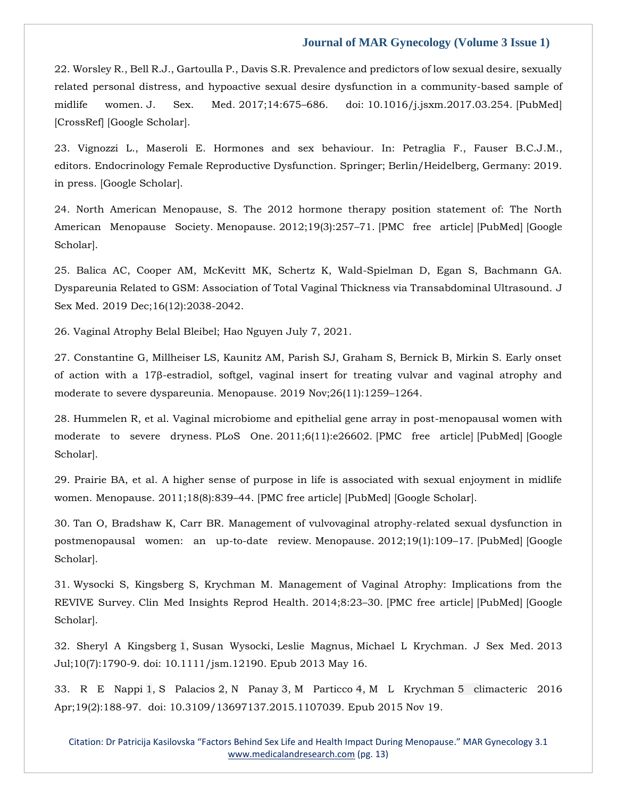22. Worsley R., Bell R.J., Gartoulla P., Davis S.R. Prevalence and predictors of low sexual desire, sexually related personal distress, and hypoactive sexual desire dysfunction in a community-based sample of midlife women. J. Sex. Med. 2017;14:675–686. doi: 10.1016/j.jsxm.2017.03.254. [\[PubMed\]](https://www.ncbi.nlm.nih.gov/pubmed/28499520) [\[CrossRef\]](https://dx.doi.org/10.1016/j.jsxm.2017.03.254) [\[Google Scholar\]](https://scholar.google.com/scholar_lookup?journal=J.+Sex.+Med.&title=Prevalence+and+predictors+of+low+sexual+desire,+sexually+related+personal+distress,+and+hypoactive+sexual+desire+dysfunction+in+a+community-based+sample+of+midlife+women&author=R.+Worsley&author=R.J.+Bell&author=P.+Gartoulla&author=S.R.+Davis&volume=14&publication_year=2017&pages=675-686&pmid=28499520&doi=10.1016/j.jsxm.2017.03.254&).

23. Vignozzi L., Maseroli E. Hormones and sex behaviour. In: Petraglia F., Fauser B.C.J.M., editors. Endocrinology Female Reproductive Dysfunction. Springer; Berlin/Heidelberg, Germany: 2019. in press. [\[Google Scholar\]](https://scholar.google.com/scholar_lookup?title=Endocrinology+Female+Reproductive+Dysfunction&author=L.+Vignozzi&author=E.+Maseroli&publication_year=2019&).

24. North American Menopause, S. The 2012 hormone therapy position statement of: The North American Menopause Society. Menopause. 2012;19(3):257–71. [\[PMC free article\]](https://www.ncbi.nlm.nih.gov/pmc/articles/PMC3443956/) [\[PubMed\]](https://www.ncbi.nlm.nih.gov/pubmed/22367731) [\[Google](https://scholar.google.com/scholar_lookup?journal=Menopause&title=The+2012+hormone+therapy+position+statement+of:+The+North+American+Menopause+Society&volume=19&issue=3&publication_year=2012&pages=257-71&pmid=22367731&)  [Scholar\]](https://scholar.google.com/scholar_lookup?journal=Menopause&title=The+2012+hormone+therapy+position+statement+of:+The+North+American+Menopause+Society&volume=19&issue=3&publication_year=2012&pages=257-71&pmid=22367731&).

25. Balica AC, Cooper AM, McKevitt MK, Schertz K, Wald-Spielman D, Egan S, Bachmann GA. Dyspareunia Related to GSM: Association of Total Vaginal Thickness via Transabdominal Ultrasound. J Sex Med. 2019 Dec;16(12):2038-2042.

26. Vaginal Atrophy Belal Bleibel; Hao Nguyen July 7, 2021.

27. Constantine G, Millheiser LS, Kaunitz AM, Parish SJ, Graham S, Bernick B, Mirkin S. Early onset of action with a 17β-estradiol, softgel, vaginal insert for treating vulvar and vaginal atrophy and moderate to severe dyspareunia. Menopause. 2019 Nov;26(11):1259–1264.

28. Hummelen R, et al. Vaginal microbiome and epithelial gene array in post-menopausal women with moderate to severe dryness. PLoS One. 2011;6(11):e26602. [\[PMC free article\]](https://www.ncbi.nlm.nih.gov/pmc/articles/PMC3206802/) [\[PubMed\]](https://www.ncbi.nlm.nih.gov/pubmed/22073175) [\[Google](https://scholar.google.com/scholar_lookup?journal=PLoS+One&title=Vaginal+microbiome+and+epithelial+gene+array+in+post-menopausal+women+with+moderate+to+severe+dryness&author=R+Hummelen&volume=6&issue=11&publication_year=2011&pages=e26602&pmid=22073175&)  [Scholar\]](https://scholar.google.com/scholar_lookup?journal=PLoS+One&title=Vaginal+microbiome+and+epithelial+gene+array+in+post-menopausal+women+with+moderate+to+severe+dryness&author=R+Hummelen&volume=6&issue=11&publication_year=2011&pages=e26602&pmid=22073175&).

29. Prairie BA, et al. A higher sense of purpose in life is associated with sexual enjoyment in midlife women. Menopause. 2011;18(8):839–44. [\[PMC free article\]](https://www.ncbi.nlm.nih.gov/pmc/articles/PMC3181046/) [\[PubMed\]](https://www.ncbi.nlm.nih.gov/pubmed/21659908) [\[Google Scholar\]](https://scholar.google.com/scholar_lookup?journal=Menopause&title=A+higher+sense+of+purpose+in+life+is+associated+with+sexual+enjoyment+in+midlife+women&author=BA+Prairie&volume=18&issue=8&publication_year=2011&pages=839-44&pmid=21659908&).

30. Tan O, Bradshaw K, Carr BR. Management of vulvovaginal atrophy-related sexual dysfunction in postmenopausal women: an up-to-date review. Menopause. 2012;19(1):109–17. [\[PubMed\]](https://www.ncbi.nlm.nih.gov/pubmed/22011753) [\[Google](https://scholar.google.com/scholar_lookup?journal=Menopause&title=Management+of+vulvovaginal+atrophy-related+sexual+dysfunction+in+postmenopausal+women:+an+up-to-date+review&author=O+Tan&author=K+Bradshaw&author=BR+Carr&volume=19&issue=1&publication_year=2012&pages=109-17&pmid=22011753&)  [Scholar\]](https://scholar.google.com/scholar_lookup?journal=Menopause&title=Management+of+vulvovaginal+atrophy-related+sexual+dysfunction+in+postmenopausal+women:+an+up-to-date+review&author=O+Tan&author=K+Bradshaw&author=BR+Carr&volume=19&issue=1&publication_year=2012&pages=109-17&pmid=22011753&).

31. Wysocki S, Kingsberg S, Krychman M. Management of Vaginal Atrophy: Implications from the REVIVE Survey. Clin Med Insights Reprod Health. 2014;8:23–30. [\[PMC free article\]](https://www.ncbi.nlm.nih.gov/pmc/articles/PMC4071759/) [\[PubMed\]](https://www.ncbi.nlm.nih.gov/pubmed/24987271) [\[Google](https://scholar.google.com/scholar_lookup?journal=Clin+Med+Insights+Reprod+Health&title=Management+of+Vaginal+Atrophy:+Implications+from+the+REVIVE+Survey&author=S+Wysocki&author=S+Kingsberg&author=M+Krychman&volume=8&publication_year=2014&pages=23-30&pmid=24987271&)  [Scholar\]](https://scholar.google.com/scholar_lookup?journal=Clin+Med+Insights+Reprod+Health&title=Management+of+Vaginal+Atrophy:+Implications+from+the+REVIVE+Survey&author=S+Wysocki&author=S+Kingsberg&author=M+Krychman&volume=8&publication_year=2014&pages=23-30&pmid=24987271&).

32. [Sheryl A Kingsberg](https://pubmed.ncbi.nlm.nih.gov/?term=Kingsberg+SA&cauthor_id=23679050) [1,](https://pubmed.ncbi.nlm.nih.gov/23679050/#affiliation-1) [Susan Wysocki,](https://pubmed.ncbi.nlm.nih.gov/?term=Wysocki+S&cauthor_id=23679050) [Leslie Magnus,](https://pubmed.ncbi.nlm.nih.gov/?term=Magnus+L&cauthor_id=23679050) [Michael L Krychman.](https://pubmed.ncbi.nlm.nih.gov/?term=Krychman+ML&cauthor_id=23679050) J Sex Med. 2013 Jul;10(7):1790-9. doi: 10.1111/jsm.12190. Epub 2013 May 16.

33. [R E Nappi](https://pubmed.ncbi.nlm.nih.gov/?term=Nappi+RE&cauthor_id=26581580) [1,](https://pubmed.ncbi.nlm.nih.gov/26581580/#affiliation-1) [S Palacios](https://pubmed.ncbi.nlm.nih.gov/?term=Palacios+S&cauthor_id=26581580) [2,](https://pubmed.ncbi.nlm.nih.gov/26581580/#affiliation-2) [N Panay](https://pubmed.ncbi.nlm.nih.gov/?term=Panay+N&cauthor_id=26581580) [3,](https://pubmed.ncbi.nlm.nih.gov/26581580/#affiliation-3) [M Particco](https://pubmed.ncbi.nlm.nih.gov/?term=Particco+M&cauthor_id=26581580) [4,](https://pubmed.ncbi.nlm.nih.gov/26581580/#affiliation-4) [M L Krychman](https://pubmed.ncbi.nlm.nih.gov/?term=Krychman+ML&cauthor_id=26581580) [5](https://pubmed.ncbi.nlm.nih.gov/26581580/#affiliation-5) climacteric 2016 Apr;19(2):188-97. doi: 10.3109/13697137.2015.1107039. Epub 2015 Nov 19.

Citation: Dr Patricija Kasilovska "Factors Behind Sex Life and Health Impact During Menopause." MAR Gynecology 3.1 [www.medicalandresearch.com](http://www.medicalandresearch.com/) (pg. 13)